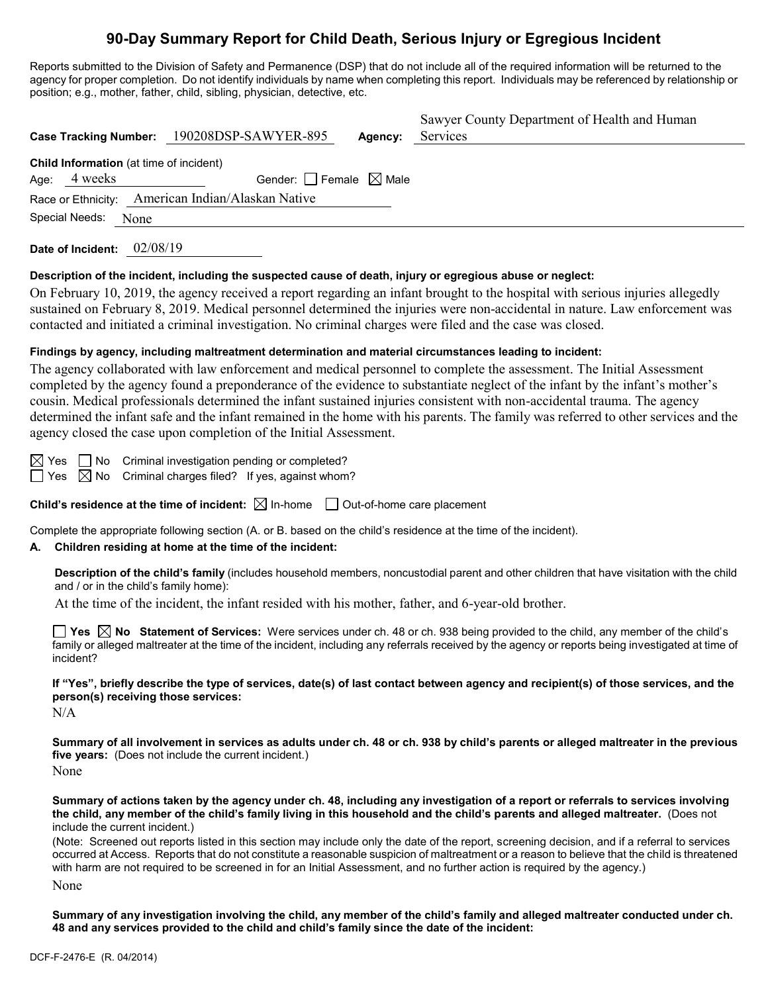# **90-Day Summary Report for Child Death, Serious Injury or Egregious Incident**

Reports submitted to the Division of Safety and Permanence (DSP) that do not include all of the required information will be returned to the agency for proper completion. Do not identify individuals by name when completing this report. Individuals may be referenced by relationship or position; e.g., mother, father, child, sibling, physician, detective, etc.

|                                         | Case Tracking Number: 190208DSP-SAWYER-895        | Agency: | Sawyer County Department of Health and Human<br>Services |
|-----------------------------------------|---------------------------------------------------|---------|----------------------------------------------------------|
| Child Information (at time of incident) |                                                   |         |                                                          |
| Age: 4 weeks                            | Gender: Female $\boxtimes$ Male                   |         |                                                          |
|                                         | Race or Ethnicity: American Indian/Alaskan Native |         |                                                          |
| Special Needs: None                     |                                                   |         |                                                          |
|                                         |                                                   |         |                                                          |

**Date of Incident:** 02/08/19

### **Description of the incident, including the suspected cause of death, injury or egregious abuse or neglect:**

On February 10, 2019, the agency received a report regarding an infant brought to the hospital with serious injuries allegedly sustained on February 8, 2019. Medical personnel determined the injuries were non-accidental in nature. Law enforcement was contacted and initiated a criminal investigation. No criminal charges were filed and the case was closed.

### **Findings by agency, including maltreatment determination and material circumstances leading to incident:**

The agency collaborated with law enforcement and medical personnel to complete the assessment. The Initial Assessment completed by the agency found a preponderance of the evidence to substantiate neglect of the infant by the infant's mother's cousin. Medical professionals determined the infant sustained injuries consistent with non-accidental trauma. The agency determined the infant safe and the infant remained in the home with his parents. The family was referred to other services and the agency closed the case upon completion of the Initial Assessment.

 $\boxtimes$  Yes  $\Box$  No Criminal investigation pending or completed?

 $\Box$  Yes  $\boxtimes$  No Criminal charges filed? If yes, against whom?

**Child's residence at the time of incident:**  $\boxtimes$  In-home  $\Box$  Out-of-home care placement

Complete the appropriate following section (A. or B. based on the child's residence at the time of the incident).

### **A. Children residing at home at the time of the incident:**

**Description of the child's family** (includes household members, noncustodial parent and other children that have visitation with the child and / or in the child's family home):

At the time of the incident, the infant resided with his mother, father, and 6-year-old brother.

**Yes No Statement of Services:** Were services under ch. 48 or ch. 938 being provided to the child, any member of the child's family or alleged maltreater at the time of the incident, including any referrals received by the agency or reports being investigated at time of incident?

**If "Yes", briefly describe the type of services, date(s) of last contact between agency and recipient(s) of those services, and the person(s) receiving those services:**

N/A

**Summary of all involvement in services as adults under ch. 48 or ch. 938 by child's parents or alleged maltreater in the previous five years:** (Does not include the current incident.) None

**Summary of actions taken by the agency under ch. 48, including any investigation of a report or referrals to services involving the child, any member of the child's family living in this household and the child's parents and alleged maltreater.** (Does not include the current incident.)

(Note: Screened out reports listed in this section may include only the date of the report, screening decision, and if a referral to services occurred at Access. Reports that do not constitute a reasonable suspicion of maltreatment or a reason to believe that the child is threatened with harm are not required to be screened in for an Initial Assessment, and no further action is required by the agency.) None

**Summary of any investigation involving the child, any member of the child's family and alleged maltreater conducted under ch. 48 and any services provided to the child and child's family since the date of the incident:**